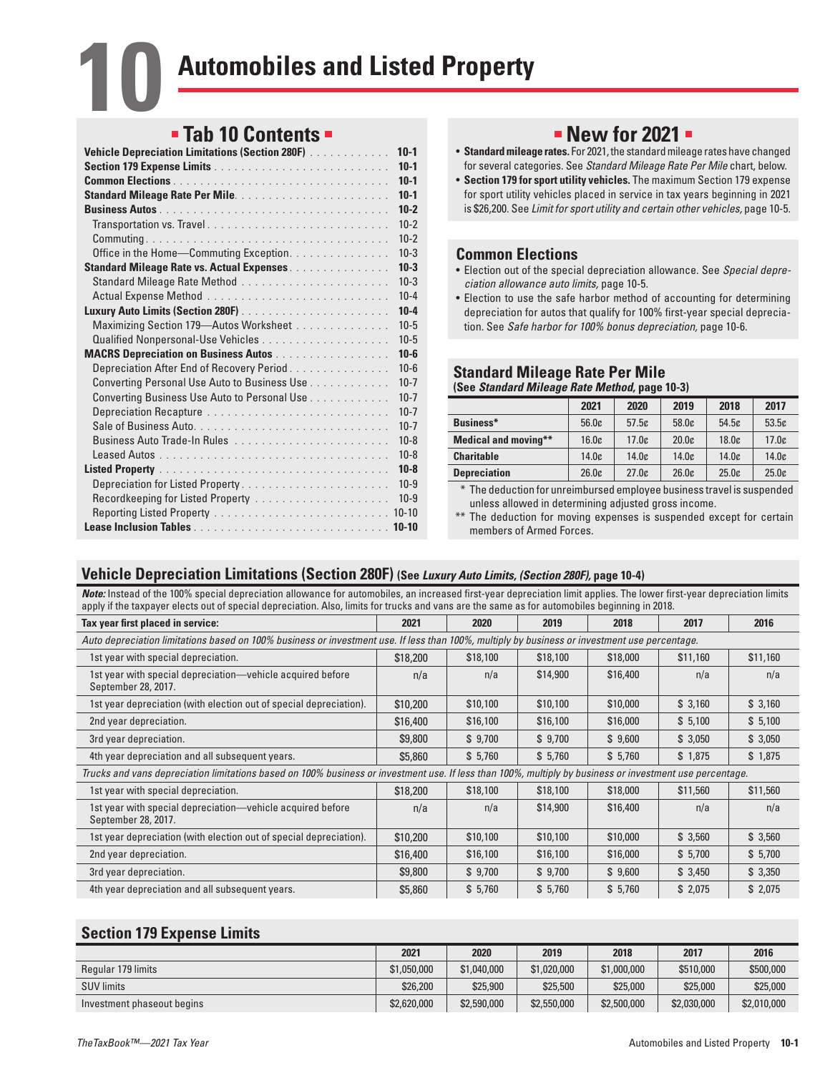# **Tab 10 Contents**

| Vehicle Depreciation Limitations (Section 280F) | $10-1$   |
|-------------------------------------------------|----------|
|                                                 | $10-1$   |
|                                                 | $10-1$   |
|                                                 | $10-1$   |
|                                                 | $10-2$   |
|                                                 | $10-2$   |
|                                                 | $10-2$   |
| Office in the Home-Commuting Exception.         | $10 - 3$ |
| Standard Mileage Rate vs. Actual Expenses.      | $10-3$   |
|                                                 | $10-3$   |
|                                                 | $10 - 4$ |
|                                                 | $10 - 4$ |
| Maximizing Section 179-Autos Worksheet          | $10 - 5$ |
|                                                 | $10 - 5$ |
| <b>MACRS Depreciation on Business Autos</b>     | $10 - 6$ |
| Depreciation After End of Recovery Period       | $10 - 6$ |
| Converting Personal Use Auto to Business Use    | $10 - 7$ |
| Converting Business Use Auto to Personal Use    | $10 - 7$ |
| Depreciation Recapture                          | $10 - 7$ |
|                                                 | $10 - 7$ |
|                                                 | $10 - 8$ |
|                                                 | $10 - 8$ |
|                                                 | $10 - 8$ |
|                                                 | $10-9$   |
| Recordkeeping for Listed Property               | $10-9$   |
|                                                 |          |
|                                                 |          |

# **New for 2021 •**

- **Standard mileage rates.** For 2021, the standard mileage rates have changed for several categories. See *Standard Mileage Rate Per Mile* chart, below.
- **Section 179 for sport utility vehicles.** The maximum Section 179 expense for sport utility vehicles placed in service in tax years beginning in 2021 is \$26,200. See *Limit for sport utility and certain other vehicles,* page 10-5.

## **Common Elections**

- Election out of the special depreciation allowance. See *Special depreciation allowance auto limits,* page 10-5.
- Election to use the safe harbor method of accounting for determining depreciation for autos that qualify for 100% first-year special depreciation. See *Safe harbor for 100% bonus depreciation,* page 10-6.

#### **Standard Mileage Rate Per Mile (See** *Standard Mileage Rate Method,* **page 10-3)**

|                             | 2021  | 2020  | 2019  | 2018  | 2017  |
|-----------------------------|-------|-------|-------|-------|-------|
| Business*                   | 56.0c | 57.5c | 58.0c | 54.5c | 53.5c |
| <b>Medical and moving**</b> | 16.0c | 17.0c | 20.0c | 18.0c | 17.0c |
| <b>Charitable</b>           | 14.0c | 14.0c | 14.0c | 14.0c | 14.0c |
| <b>Depreciation</b>         | 26.0c | 27.0c | 26.0c | 25.0c | 25.0c |

\* The deduction for unreimbursed employee business travel is suspended unless allowed in determining adjusted gross income.

\*\* The deduction for moving expenses is suspended except for certain members of Armed Forces.

## **Vehicle Depreciation Limitations (Section 280F) (See** *Luxury Auto Limits, (Section 280F),* **page 10-4)**

*Note:* Instead of the 100% special depreciation allowance for automobiles, an increased first-year depreciation limit applies. The lower first-year depreciation limits apply if the taxpayer elects out of special depreciation. Also, limits for trucks and vans are the same as for automobiles beginning in 2018.

| Tax year first placed in service:                                                                                                                        | 2021                                                                                                                                          | 2020     | 2019     | 2018     | 2017     | 2016     |  |  |
|----------------------------------------------------------------------------------------------------------------------------------------------------------|-----------------------------------------------------------------------------------------------------------------------------------------------|----------|----------|----------|----------|----------|--|--|
|                                                                                                                                                          | Auto depreciation limitations based on 100% business or investment use. If less than 100%, multiply by business or investment use percentage. |          |          |          |          |          |  |  |
| 1st year with special depreciation.                                                                                                                      | \$18,200                                                                                                                                      | \$18,100 | \$18,100 | \$18,000 | \$11,160 | \$11,160 |  |  |
| 1st year with special depreciation—vehicle acquired before<br>September 28, 2017.                                                                        | n/a                                                                                                                                           | n/a      | \$14,900 | \$16,400 | n/a      | n/a      |  |  |
| 1st year depreciation (with election out of special depreciation).                                                                                       | \$10,200                                                                                                                                      | \$10,100 | \$10,100 | \$10,000 | \$3,160  | \$3,160  |  |  |
| 2nd year depreciation.                                                                                                                                   | \$16,400                                                                                                                                      | \$16,100 | \$16,100 | \$16,000 | \$5,100  | \$5,100  |  |  |
| 3rd year depreciation.                                                                                                                                   | \$9,800                                                                                                                                       | \$9,700  | \$9,700  | \$9,600  | \$3,050  | \$3,050  |  |  |
| 4th year depreciation and all subsequent years.                                                                                                          | \$5,860                                                                                                                                       | \$5,760  | \$5,760  | \$5,760  | \$1,875  | \$1,875  |  |  |
| Trucks and vans depreciation limitations based on 100% business or investment use. If less than 100%, multiply by business or investment use percentage. |                                                                                                                                               |          |          |          |          |          |  |  |
| 1st year with special depreciation.                                                                                                                      | \$18,200                                                                                                                                      | \$18,100 | \$18,100 | \$18,000 | \$11,560 | \$11,560 |  |  |
| 1st year with special depreciation—vehicle acquired before<br>September 28, 2017.                                                                        | n/a                                                                                                                                           | n/a      | \$14,900 | \$16,400 | n/a      | n/a      |  |  |
| 1st year depreciation (with election out of special depreciation).                                                                                       | \$10,200                                                                                                                                      | \$10,100 | \$10,100 | \$10,000 | \$3,560  | \$3,560  |  |  |
| 2nd year depreciation.                                                                                                                                   | \$16,400                                                                                                                                      | \$16,100 | \$16,100 | \$16,000 | \$5,700  | \$5,700  |  |  |
| 3rd year depreciation.                                                                                                                                   | \$9,800                                                                                                                                       | \$9,700  | \$9,700  | \$9,600  | \$3,450  | \$3,350  |  |  |
| 4th year depreciation and all subsequent years.                                                                                                          | \$5,860                                                                                                                                       | \$5,760  | \$5,760  | \$5,760  | \$2,075  | \$2,075  |  |  |

## **Section 179 Expense Limits**

|                            | 2021        | 2020        | 2019        | 2018        | 2017        | 2016        |
|----------------------------|-------------|-------------|-------------|-------------|-------------|-------------|
| Regular 179 limits         | \$1,050,000 | \$1,040,000 | \$1,020,000 | \$1,000,000 | \$510,000   | \$500,000   |
| <b>SUV limits</b>          | \$26,200    | \$25,900    | \$25,500    | \$25,000    | \$25,000    | \$25,000    |
| Investment phaseout begins | \$2,620,000 | \$2,590,000 | \$2,550,000 | \$2,500,000 | \$2,030,000 | \$2,010,000 |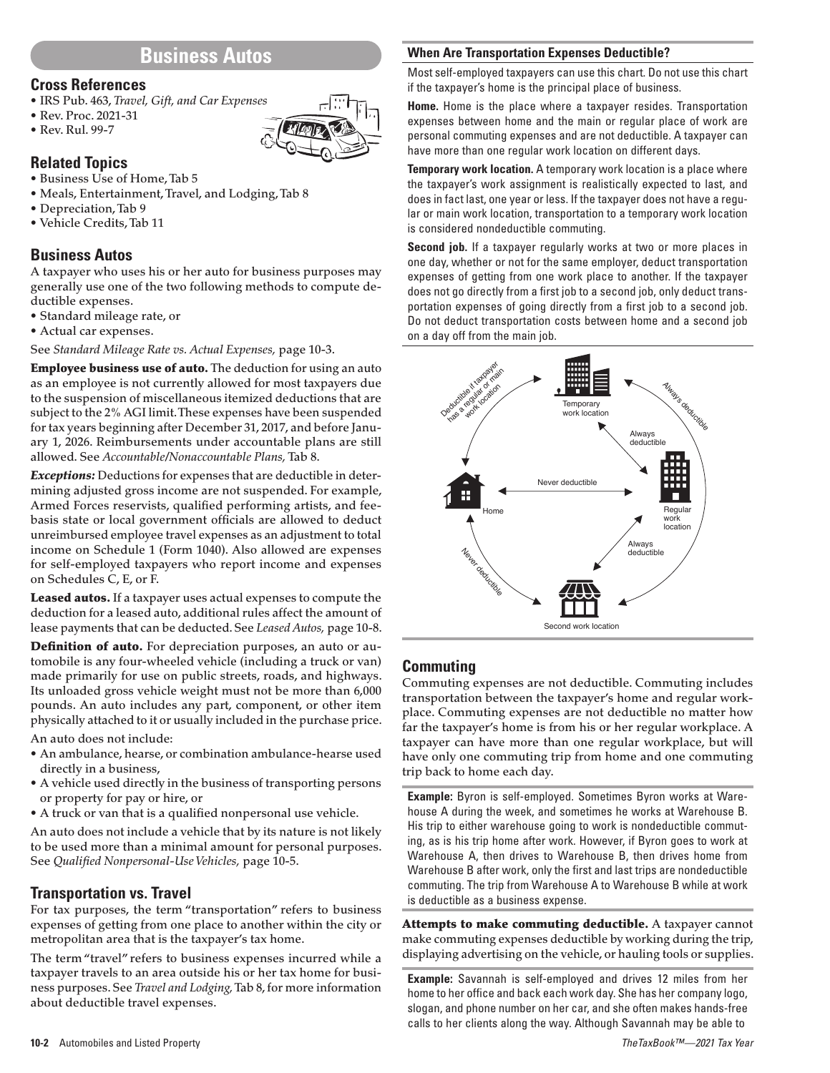## **Business Autos**

#### **Cross References**

- IRS Pub. 463, *Travel, Gift, and Car Expenses*
- Rev. Proc. 2021-31
- Rev. Rul. 99-7

# **Related Topics**

- Business Use of Home, Tab 5
- Meals, Entertainment, Travel, and Lodging, Tab 8
- Depreciation, Tab 9
- Vehicle Credits, Tab 11

### **Business Autos**

A taxpayer who uses his or her auto for business purposes may generally use one of the two following methods to compute deductible expenses.

- Standard mileage rate, or
- Actual car expenses.

See *Standard Mileage Rate vs. Actual Expenses,* page 10-3.

**Employee business use of auto.** The deduction for using an auto as an employee is not currently allowed for most taxpayers due to the suspension of miscellaneous itemized deductions that are subject to the 2% AGI limit. These expenses have been suspended for tax years beginning after December 31, 2017, and before January 1, 2026. Reimbursements under accountable plans are still allowed. See *Accountable/Nonaccountable Plans,*Tab 8.

*Exceptions:* Deductions for expenses that are deductible in determining adjusted gross income are not suspended. For example, Armed Forces reservists, qualified performing artists, and feebasis state or local government officials are allowed to deduct unreimbursed employee travel expenses as an adjustment to total income on Schedule 1 (Form 1040). Also allowed are expenses for self-employed taxpayers who report income and expenses on Schedules C, E, or F.

Leased autos. If a taxpayer uses actual expenses to compute the deduction for a leased auto, additional rules affect the amount of lease payments that can be deducted. See *Leased Autos,* page 10-8.

Definition of auto. For depreciation purposes, an auto or automobile is any four-wheeled vehicle (including a truck or van) made primarily for use on public streets, roads, and highways. Its unloaded gross vehicle weight must not be more than 6,000 pounds. An auto includes any part, component, or other item physically attached to it or usually included in the purchase price.

An auto does not include:

- An ambulance, hearse, or combination ambulance-hearse used directly in a business,
- A vehicle used directly in the business of transporting persons or property for pay or hire, or
- A truck or van that is a qualified nonpersonal use vehicle.

An auto does not include a vehicle that by its nature is not likely to be used more than a minimal amount for personal purposes. See *Qualified Nonpersonal-Use Vehicles,* page 10-5.

#### **Transportation vs. Travel**

For tax purposes, the term "transportation" refers to business expenses of getting from one place to another within the city or metropolitan area that is the taxpayer's tax home.

The term "travel" refers to business expenses incurred while a taxpayer travels to an area outside his or her tax home for business purposes. See *Travel and Lodging,*Tab 8, for more information about deductible travel expenses.

### **When Are Transportation Expenses Deductible?**

Most self-employed taxpayers can use this chart. Do not use this chart if the taxpayer's home is the principal place of business.

**Home.** Home is the place where a taxpayer resides. Transportation expenses between home and the main or regular place of work are personal commuting expenses and are not deductible. A taxpayer can have more than one regular work location on different days.

**Temporary work location.** A temporary work location is a place where the taxpayer's work assignment is realistically expected to last, and does in fact last, one year or less. If the taxpayer does not have a regular or main work location, transportation to a temporary work location is considered nondeductible commuting.

**Second job.** If a taxpayer regularly works at two or more places in one day, whether or not for the same employer, deduct transportation expenses of getting from one work place to another. If the taxpayer does not go directly from a first job to a second job, only deduct transportation expenses of going directly from a first job to a second job. Do not deduct transportation costs between home and a second job on a day off from the main job.



### **Commuting**

Commuting expenses are not deductible. Commuting includes transportation between the taxpayer's home and regular workplace. Commuting expenses are not deductible no matter how far the taxpayer's home is from his or her regular workplace. A taxpayer can have more than one regular workplace, but will have only one commuting trip from home and one commuting trip back to home each day.

**Example:** Byron is self-employed. Sometimes Byron works at Warehouse A during the week, and sometimes he works at Warehouse B. His trip to either warehouse going to work is nondeductible commuting, as is his trip home after work. However, if Byron goes to work at Warehouse A, then drives to Warehouse B, then drives home from Warehouse B after work, only the first and last trips are nondeductible commuting. The trip from Warehouse A to Warehouse B while at work is deductible as a business expense.

Attempts to make commuting deductible. A taxpayer cannot make commuting expenses deductible by working during the trip, displaying advertising on the vehicle, or hauling tools or supplies.

**Example:** Savannah is self-employed and drives 12 miles from her home to her office and back each work day. She has her company logo, slogan, and phone number on her car, and she often makes hands-free calls to her clients along the way. Although Savannah may be able to

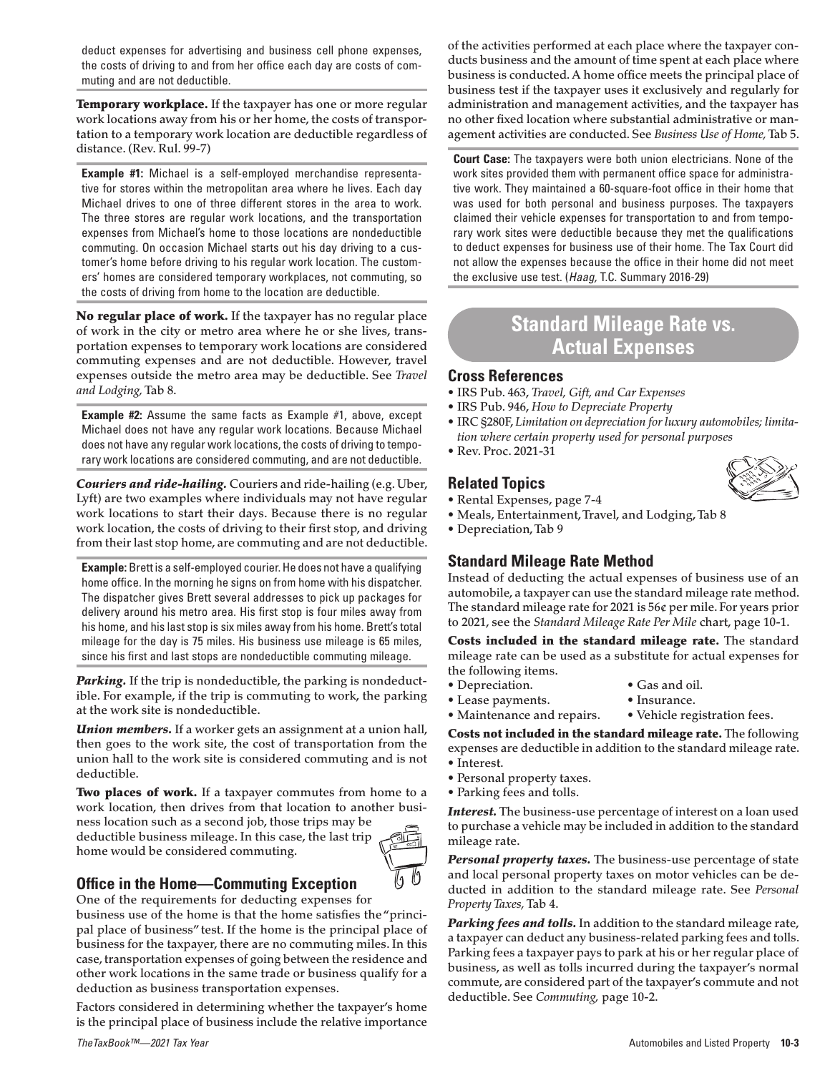deduct expenses for advertising and business cell phone expenses, the costs of driving to and from her office each day are costs of commuting and are not deductible.

Temporary workplace. If the taxpayer has one or more regular work locations away from his or her home, the costs of transportation to a temporary work location are deductible regardless of distance. (Rev. Rul. 99-7)

**Example #1:** Michael is a self-employed merchandise representative for stores within the metropolitan area where he lives. Each day Michael drives to one of three different stores in the area to work. The three stores are regular work locations, and the transportation expenses from Michael's home to those locations are nondeductible commuting. On occasion Michael starts out his day driving to a customer's home before driving to his regular work location. The customers' homes are considered temporary workplaces, not commuting, so the costs of driving from home to the location are deductible.

No regular place of work. If the taxpayer has no regular place of work in the city or metro area where he or she lives, transportation expenses to temporary work locations are considered commuting expenses and are not deductible. However, travel expenses outside the metro area may be deductible. See *Travel and Lodging,*Tab 8.

**Example #2:** Assume the same facts as Example #1, above, except Michael does not have any regular work locations. Because Michael does not have any regular work locations, the costs of driving to temporary work locations are considered commuting, and are not deductible.

*Couriers and ride-hailing.* Couriers and ride-hailing (e.g. Uber, Lyft) are two examples where individuals may not have regular work locations to start their days. Because there is no regular work location, the costs of driving to their first stop, and driving from their last stop home, are commuting and are not deductible.

**Example:** Brett is a self-employed courier. He does not have a qualifying home office. In the morning he signs on from home with his dispatcher. The dispatcher gives Brett several addresses to pick up packages for delivery around his metro area. His first stop is four miles away from his home, and his last stop is six miles away from his home. Brett's total mileage for the day is 75 miles. His business use mileage is 65 miles, since his first and last stops are nondeductible commuting mileage.

**Parking.** If the trip is nondeductible, the parking is nondeductible. For example, if the trip is commuting to work, the parking at the work site is nondeductible.

*Union members.* If a worker gets an assignment at a union hall, then goes to the work site, the cost of transportation from the union hall to the work site is considered commuting and is not deductible.

Two places of work. If a taxpayer commutes from home to a work location, then drives from that location to another busi-

ness location such as a second job, those trips may be deductible business mileage. In this case, the last trip home would be considered commuting.



## **Office in the Home—Commuting Exception**

One of the requirements for deducting expenses for

business use of the home is that the home satisfies the "principal place of business" test. If the home is the principal place of business for the taxpayer, there are no commuting miles. In this case, transportation expenses of going between the residence and other work locations in the same trade or business qualify for a deduction as business transportation expenses.

Factors considered in determining whether the taxpayer's home is the principal place of business include the relative importance of the activities performed at each place where the taxpayer conducts business and the amount of time spent at each place where business is conducted. A home office meets the principal place of business test if the taxpayer uses it exclusively and regularly for administration and management activities, and the taxpayer has no other fixed location where substantial administrative or management activities are conducted. See *Business Use of Home,*Tab 5.

**Court Case:** The taxpayers were both union electricians. None of the work sites provided them with permanent office space for administrative work. They maintained a 60-square-foot office in their home that was used for both personal and business purposes. The taxpayers claimed their vehicle expenses for transportation to and from temporary work sites were deductible because they met the qualifications to deduct expenses for business use of their home. The Tax Court did not allow the expenses because the office in their home did not meet the exclusive use test. (*Haag,* T.C. Summary 2016-29)

# **Standard Mileage Rate vs. Actual Expenses**

### **Cross References**

- IRS Pub. 463, *Travel, Gift, and Car Expenses*
- IRS Pub. 946, *How to Depreciate Property*
- IRC §280F, *Limitation on depreciation for luxury automobiles; limitation where certain property used for personal purposes*
- Rev. Proc. 2021-31

## **Related Topics**

- Rental Expenses, page 7-4
- Meals, Entertainment, Travel, and Lodging, Tab 8
- Depreciation, Tab 9

## **Standard Mileage Rate Method**

Instead of deducting the actual expenses of business use of an automobile, a taxpayer can use the standard mileage rate method. The standard mileage rate for 2021 is 56¢ per mile. For years prior to 2021, see the *Standard Mileage Rate Per Mile* chart, page 10-1.

Costs included in the standard mileage rate. The standard mileage rate can be used as a substitute for actual expenses for the following items.

- Depreciation.
- Gas and oil.
- Lease payments.
- Insurance.

• Maintenance and repairs. • Vehicle registration fees. Costs not included in the standard mileage rate. The following

expenses are deductible in addition to the standard mileage rate. • Interest.

- 
- Personal property taxes.
- Parking fees and tolls.

*Interest.* The business-use percentage of interest on a loan used to purchase a vehicle may be included in addition to the standard mileage rate.

*Personal property taxes.* The business-use percentage of state and local personal property taxes on motor vehicles can be deducted in addition to the standard mileage rate. See *Personal Property Taxes,*Tab 4.

*Parking fees and tolls.* In addition to the standard mileage rate, a taxpayer can deduct any business-related parking fees and tolls. Parking fees a taxpayer pays to park at his or her regular place of business, as well as tolls incurred during the taxpayer's normal commute, are considered part of the taxpayer's commute and not deductible. See *Commuting,* page 10-2.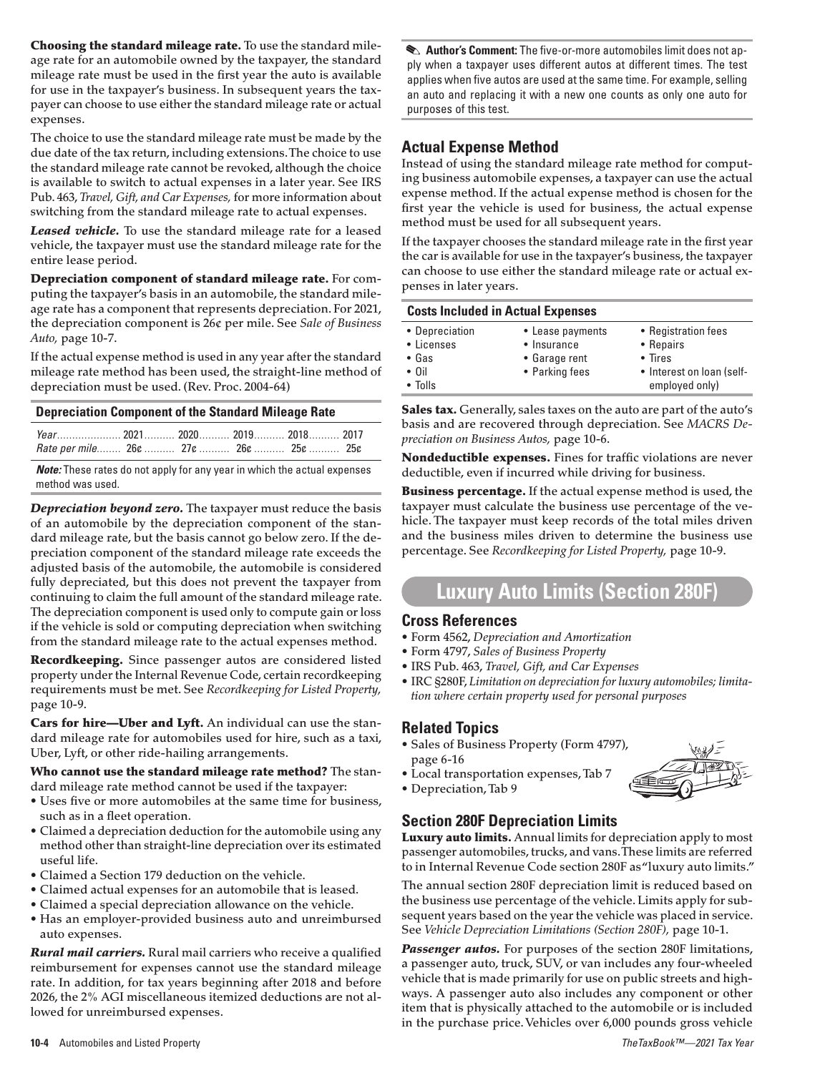Choosing the standard mileage rate. To use the standard mileage rate for an automobile owned by the taxpayer, the standard mileage rate must be used in the first year the auto is available for use in the taxpayer's business. In subsequent years the taxpayer can choose to use either the standard mileage rate or actual expenses.

The choice to use the standard mileage rate must be made by the due date of the tax return, including extensions. The choice to use the standard mileage rate cannot be revoked, although the choice is available to switch to actual expenses in a later year. See IRS Pub. 463, *Travel, Gift, and Car Expenses,* for more information about switching from the standard mileage rate to actual expenses.

*Leased vehicle.* To use the standard mileage rate for a leased vehicle, the taxpayer must use the standard mileage rate for the entire lease period.

Depreciation component of standard mileage rate. For computing the taxpayer's basis in an automobile, the standard mileage rate has a component that represents depreciation. For 2021, the depreciation component is 26¢ per mile. See *Sale of Business Auto,* page 10-7.

If the actual expense method is used in any year after the standard mileage rate method has been used, the straight-line method of depreciation must be used. (Rev. Proc. 2004-64)

| Rate per mile 26¢  27¢  26¢  25¢  25¢ |  |  |  |
|---------------------------------------|--|--|--|

*Note:* These rates do not apply for any year in which the actual expenses method was used.

*Depreciation beyond zero.* The taxpayer must reduce the basis of an automobile by the depreciation component of the standard mileage rate, but the basis cannot go below zero. If the depreciation component of the standard mileage rate exceeds the adjusted basis of the automobile, the automobile is considered fully depreciated, but this does not prevent the taxpayer from continuing to claim the full amount of the standard mileage rate. The depreciation component is used only to compute gain or loss if the vehicle is sold or computing depreciation when switching from the standard mileage rate to the actual expenses method.

Recordkeeping. Since passenger autos are considered listed property under the Internal Revenue Code, certain recordkeeping requirements must be met. See *Recordkeeping for Listed Property,* page 10-9.

Cars for hire-Uber and Lyft. An individual can use the standard mileage rate for automobiles used for hire, such as a taxi, Uber, Lyft, or other ride-hailing arrangements.

Who cannot use the standard mileage rate method? The standard mileage rate method cannot be used if the taxpayer:

- Uses five or more automobiles at the same time for business, such as in a fleet operation.
- Claimed a depreciation deduction for the automobile using any method other than straight-line depreciation over its estimated useful life.
- Claimed a Section 179 deduction on the vehicle.
- Claimed actual expenses for an automobile that is leased.
- Claimed a special depreciation allowance on the vehicle.
- Has an employer-provided business auto and unreimbursed auto expenses.

*Rural mail carriers.* Rural mail carriers who receive a qualified reimbursement for expenses cannot use the standard mileage rate. In addition, for tax years beginning after 2018 and before 2026, the 2% AGI miscellaneous itemized deductions are not allowed for unreimbursed expenses.

**Author's Comment:** The five-or-more automobiles limit does not apply when a taxpayer uses different autos at different times. The test applies when five autos are used at the same time. For example, selling an auto and replacing it with a new one counts as only one auto for purposes of this test.

## **Actual Expense Method**

Instead of using the standard mileage rate method for computing business automobile expenses, a taxpayer can use the actual expense method. If the actual expense method is chosen for the first year the vehicle is used for business, the actual expense method must be used for all subsequent years.

If the taxpayer chooses the standard mileage rate in the first year the car is available for use in the taxpayer's business, the taxpayer can choose to use either the standard mileage rate or actual expenses in later years.

| <b>Costs Included in Actual Expenses</b>                                        |                                                                    |                                                                                                    |  |  |  |  |
|---------------------------------------------------------------------------------|--------------------------------------------------------------------|----------------------------------------------------------------------------------------------------|--|--|--|--|
| • Depreciation<br>• Licenses<br>$\bullet$ Gas<br>$\cdot$ 0il<br>$\bullet$ Tolls | • Lease payments<br>• Insurance<br>• Garage rent<br>• Parking fees | • Registration fees<br>• Repairs<br>$\bullet$ Tires<br>• Interest on loan (self-<br>employed only) |  |  |  |  |

Sales tax. Generally, sales taxes on the auto are part of the auto's basis and are recovered through depreciation. See *MACRS Depreciation on Business Autos,* page 10-6.

Nondeductible expenses. Fines for traffic violations are never deductible, even if incurred while driving for business.

Business percentage. If the actual expense method is used, the taxpayer must calculate the business use percentage of the vehicle. The taxpayer must keep records of the total miles driven and the business miles driven to determine the business use percentage. See *Recordkeeping for Listed Property,* page 10-9.

# **Luxury Auto Limits (Section 280F)**

#### **Cross References**

- Form 4562, *Depreciation and Amortization*
- Form 4797, *Sales of Business Property*
- IRS Pub. 463, *Travel, Gift, and Car Expenses*
- IRC §280F, *Limitation on depreciation for luxury automobiles; limitation where certain property used for personal purposes*

### **Related Topics**

- Sales of Business Property (Form 4797), page 6-16
- Local transportation expenses, Tab 7 • Depreciation, Tab 9



## **Section 280F Depreciation Limits**

Luxury auto limits. Annual limits for depreciation apply to most passenger automobiles, trucks, and vans. These limits are referred to in Internal Revenue Code section 280F as "luxury auto limits."

The annual section 280F depreciation limit is reduced based on the business use percentage of the vehicle. Limits apply for subsequent years based on the year the vehicle was placed in service. See *Vehicle Depreciation Limitations (Section 280F),* page 10-1.

Passenger autos. For purposes of the section 280F limitations, a passenger auto, truck, SUV, or van includes any four-wheeled vehicle that is made primarily for use on public streets and highways. A passenger auto also includes any component or other item that is physically attached to the automobile or is included in the purchase price. Vehicles over 6,000 pounds gross vehicle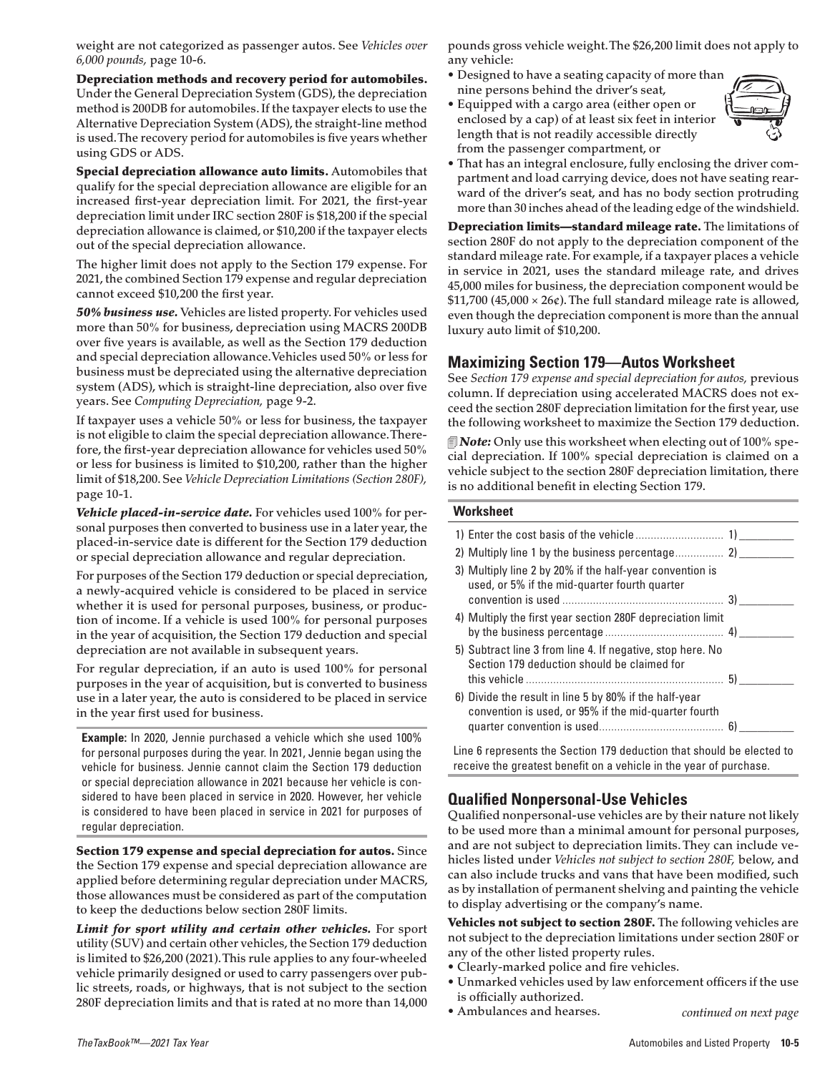weight are not categorized as passenger autos. See *Vehicles over 6,000 pounds,* page 10-6.

Depreciation methods and recovery period for automobiles. Under the General Depreciation System (GDS), the depreciation method is 200DB for automobiles. If the taxpayer elects to use the Alternative Depreciation System (ADS), the straight-line method is used. The recovery period for automobiles is five years whether using GDS or ADS.

Special depreciation allowance auto limits. Automobiles that qualify for the special depreciation allowance are eligible for an increased first-year depreciation limit. For 2021, the first-year depreciation limit under IRC section 280F is \$18,200 if the special depreciation allowance is claimed, or \$10,200 if the taxpayer elects out of the special depreciation allowance.

The higher limit does not apply to the Section 179 expense. For 2021, the combined Section 179 expense and regular depreciation cannot exceed \$10,200 the first year.

*50% business use.* Vehicles are listed property. For vehicles used more than 50% for business, depreciation using MACRS 200DB over five years is available, as well as the Section 179 deduction and special depreciation allowance. Vehicles used 50% or less for business must be depreciated using the alternative depreciation system (ADS), which is straight-line depreciation, also over five years. See *Computing Depreciation,* page 9-2.

If taxpayer uses a vehicle 50% or less for business, the taxpayer is not eligible to claim the special depreciation allowance. Therefore, the first-year depreciation allowance for vehicles used 50% or less for business is limited to \$10,200, rather than the higher limit of \$18,200. See *Vehicle Depreciation Limitations (Section 280F),* page 10-1.

*Vehicle placed-in-service date.* For vehicles used 100% for personal purposes then converted to business use in a later year, the placed-in-service date is different for the Section 179 deduction or special depreciation allowance and regular depreciation.

For purposes of the Section 179 deduction or special depreciation, a newly-acquired vehicle is considered to be placed in service whether it is used for personal purposes, business, or production of income. If a vehicle is used 100% for personal purposes in the year of acquisition, the Section 179 deduction and special depreciation are not available in subsequent years.

For regular depreciation, if an auto is used 100% for personal purposes in the year of acquisition, but is converted to business use in a later year, the auto is considered to be placed in service in the year first used for business.

**Example:** In 2020, Jennie purchased a vehicle which she used 100% for personal purposes during the year. In 2021, Jennie began using the vehicle for business. Jennie cannot claim the Section 179 deduction or special depreciation allowance in 2021 because her vehicle is considered to have been placed in service in 2020. However, her vehicle is considered to have been placed in service in 2021 for purposes of regular depreciation.

Section 179 expense and special depreciation for autos. Since the Section 179 expense and special depreciation allowance are applied before determining regular depreciation under MACRS, those allowances must be considered as part of the computation to keep the deductions below section 280F limits.

Limit for sport utility and certain other vehicles. For sport utility (SUV) and certain other vehicles, the Section 179 deduction is limited to \$26,200 (2021). This rule applies to any four-wheeled vehicle primarily designed or used to carry passengers over public streets, roads, or highways, that is not subject to the section 280F depreciation limits and that is rated at no more than 14,000 **continued on the state of the example of the example of the example of the example of the example of the example of the example of the example of the examp** 

pounds gross vehicle weight. The \$26,200 limit does not apply to any vehicle:

- Designed to have a seating capacity of more than nine persons behind the driver's seat,
- Equipped with a cargo area (either open or enclosed by a cap) of at least six feet in interior length that is not readily accessible directly from the passenger compartment, or



• That has an integral enclosure, fully enclosing the driver compartment and load carrying device, does not have seating rearward of the driver's seat, and has no body section protruding more than 30 inches ahead of the leading edge of the windshield.

Depreciation limits—standard mileage rate. The limitations of section 280F do not apply to the depreciation component of the standard mileage rate. For example, if a taxpayer places a vehicle in service in 2021, uses the standard mileage rate, and drives 45,000 miles for business, the depreciation component would be  $$11,700$  (45,000 × 26¢). The full standard mileage rate is allowed, even though the depreciation component is more than the annual luxury auto limit of \$10,200.

### **Maximizing Section 179—Autos Worksheet**

See *Section 179 expense and special depreciation for autos,* previous column. If depreciation using accelerated MACRS does not exceed the section 280F depreciation limitation for the first year, use the following worksheet to maximize the Section 179 deduction.

*Note:* Only use this worksheet when electing out of 100% special depreciation. If 100% special depreciation is claimed on a vehicle subject to the section 280F depreciation limitation, there is no additional benefit in electing Section 179.

#### **Worksheet**

| 3) Multiply line 2 by 20% if the half-year convention is<br>used, or 5% if the mid-quarter fourth quarter |  |
|-----------------------------------------------------------------------------------------------------------|--|
|                                                                                                           |  |
| 4) Multiply the first year section 280F depreciation limit                                                |  |
| 5) Subtract line 3 from line 4. If negative, stop here. No<br>Section 179 deduction should be claimed for |  |
|                                                                                                           |  |
| convention is used, or 95% if the mid-quarter fourth                                                      |  |
| 6) Divide the result in line 5 by 80% if the half-year                                                    |  |

Line 6 represents the Section 179 deduction that should be elected to receive the greatest benefit on a vehicle in the year of purchase.

## **Qualified Nonpersonal-Use Vehicles**

Qualified nonpersonal-use vehicles are by their nature not likely to be used more than a minimal amount for personal purposes, and are not subject to depreciation limits. They can include vehicles listed under *Vehicles not subject to section 280F,* below, and can also include trucks and vans that have been modified, such as by installation of permanent shelving and painting the vehicle to display advertising or the company's name.

Vehicles not subject to section 280F. The following vehicles are not subject to the depreciation limitations under section 280F or any of the other listed property rules.

• Clearly-marked police and fire vehicles.

• Ambulances and hearses.

- Unmarked vehicles used by law enforcement officers if the use is officially authorized.
	-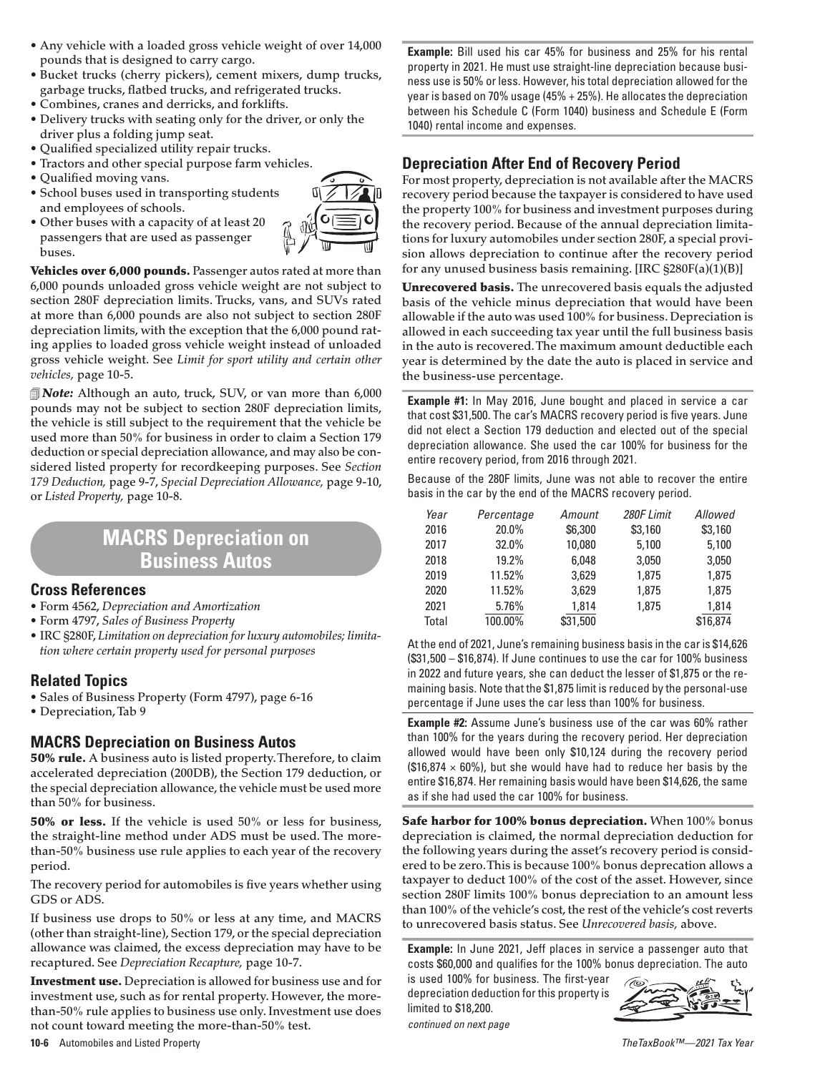- Any vehicle with a loaded gross vehicle weight of over 14,000 pounds that is designed to carry cargo.
- Bucket trucks (cherry pickers), cement mixers, dump trucks, garbage trucks, flatbed trucks, and refrigerated trucks.
- Combines, cranes and derricks, and forklifts.
- Delivery trucks with seating only for the driver, or only the driver plus a folding jump seat.
- Qualified specialized utility repair trucks.
- Tractors and other special purpose farm vehicles.
- Qualified moving vans.
- School buses used in transporting students and employees of schools.
- Other buses with a capacity of at least 20 passengers that are used as passenger buses.



Vehicles over 6,000 pounds. Passenger autos rated at more than 6,000 pounds unloaded gross vehicle weight are not subject to section 280F depreciation limits. Trucks, vans, and SUVs rated at more than 6,000 pounds are also not subject to section 280F depreciation limits, with the exception that the 6,000 pound rating applies to loaded gross vehicle weight instead of unloaded gross vehicle weight. See *Limit for sport utility and certain other vehicles,* page 10-5.

*Note:* Although an auto, truck, SUV, or van more than 6,000 pounds may not be subject to section 280F depreciation limits, the vehicle is still subject to the requirement that the vehicle be used more than 50% for business in order to claim a Section 179 deduction or special depreciation allowance, and may also be considered listed property for recordkeeping purposes. See *Section 179 Deduction,* page 9-7, *Special Depreciation Allowance,* page 9-10, or *Listed Property,* page 10-8.

# **MACRS Depreciation on Business Autos**

#### **Cross References**

- Form 4562, *Depreciation and Amortization*
- Form 4797, *Sales of Business Property*
- IRC §280F, *Limitation on depreciation for luxury automobiles; limitation where certain property used for personal purposes*

## **Related Topics**

- Sales of Business Property (Form 4797), page 6-16
- Depreciation, Tab 9

## **MACRS Depreciation on Business Autos**

50% rule. A business auto is listed property. Therefore, to claim accelerated depreciation (200DB), the Section 179 deduction, or the special depreciation allowance, the vehicle must be used more than 50% for business.

50% or less. If the vehicle is used 50% or less for business, the straight-line method under ADS must be used. The morethan-50% business use rule applies to each year of the recovery period.

The recovery period for automobiles is five years whether using GDS or ADS.

If business use drops to 50% or less at any time, and MACRS (other than straight-line), Section 179, or the special depreciation allowance was claimed, the excess depreciation may have to be recaptured. See *Depreciation Recapture,* page 10-7.

Investment use. Depreciation is allowed for business use and for investment use, such as for rental property. However, the morethan-50% rule applies to business use only. Investment use does not count toward meeting the more-than-50% test.

**Example:** Bill used his car 45% for business and 25% for his rental property in 2021. He must use straight-line depreciation because business use is 50% or less. However, his total depreciation allowed for the year is based on 70% usage (45% + 25%). He allocates the depreciation between his Schedule C (Form 1040) business and Schedule E (Form 1040) rental income and expenses.

### **Depreciation After End of Recovery Period**

For most property, depreciation is not available after the MACRS recovery period because the taxpayer is considered to have used the property 100% for business and investment purposes during the recovery period. Because of the annual depreciation limitations for luxury automobiles under section 280F, a special provision allows depreciation to continue after the recovery period for any unused business basis remaining. [IRC  $\S 280F(a)(1)(B)$ ]

Unrecovered basis. The unrecovered basis equals the adjusted basis of the vehicle minus depreciation that would have been allowable if the auto was used 100% for business. Depreciation is allowed in each succeeding tax year until the full business basis in the auto is recovered. The maximum amount deductible each year is determined by the date the auto is placed in service and the business-use percentage.

**Example #1:** In May 2016, June bought and placed in service a car that cost \$31,500. The car's MACRS recovery period is five years. June did not elect a Section 179 deduction and elected out of the special depreciation allowance. She used the car 100% for business for the entire recovery period, from 2016 through 2021.

Because of the 280F limits, June was not able to recover the entire basis in the car by the end of the MACRS recovery period.

| Year  | Percentage | Amount   | 280F Limit | Allowed  |
|-------|------------|----------|------------|----------|
| 2016  | 20.0%      | \$6,300  | \$3,160    | \$3,160  |
| 2017  | 32.0%      | 10,080   | 5,100      | 5,100    |
| 2018  | 19.2%      | 6.048    | 3,050      | 3,050    |
| 2019  | 11.52%     | 3.629    | 1,875      | 1,875    |
| 2020  | 11.52%     | 3.629    | 1,875      | 1,875    |
| 2021  | 5.76%      | 1.814    | 1.875      | 1,814    |
| Total | 100.00%    | \$31,500 |            | \$16,874 |

At the end of 2021, June's remaining business basis in the car is \$14,626 (\$31,500 – \$16,874). If June continues to use the car for 100% business in 2022 and future years, she can deduct the lesser of \$1,875 or the remaining basis. Note that the \$1,875 limit is reduced by the personal-use percentage if June uses the car less than 100% for business.

**Example #2:** Assume June's business use of the car was 60% rather than 100% for the years during the recovery period. Her depreciation allowed would have been only \$10,124 during the recovery period  $($16,874 \times 60\%)$ , but she would have had to reduce her basis by the entire \$16,874. Her remaining basis would have been \$14,626, the same as if she had used the car 100% for business.

Safe harbor for 100% bonus depreciation. When 100% bonus depreciation is claimed, the normal depreciation deduction for the following years during the asset's recovery period is considered to be zero. This is because 100% bonus deprecation allows a taxpayer to deduct 100% of the cost of the asset. However, since section 280F limits 100% bonus depreciation to an amount less than 100% of the vehicle's cost, the rest of the vehicle's cost reverts to unrecovered basis status. See *Unrecovered basis,* above.

**Example:** In June 2021, Jeff places in service a passenger auto that costs \$60,000 and qualifies for the 100% bonus depreciation. The auto

is used 100% for business. The first-year depreciation deduction for this property is limited to \$18,200.

*continued on next page*



**10-6** Automobiles and Listed Property *TheTaxBook™—2021 Tax Year*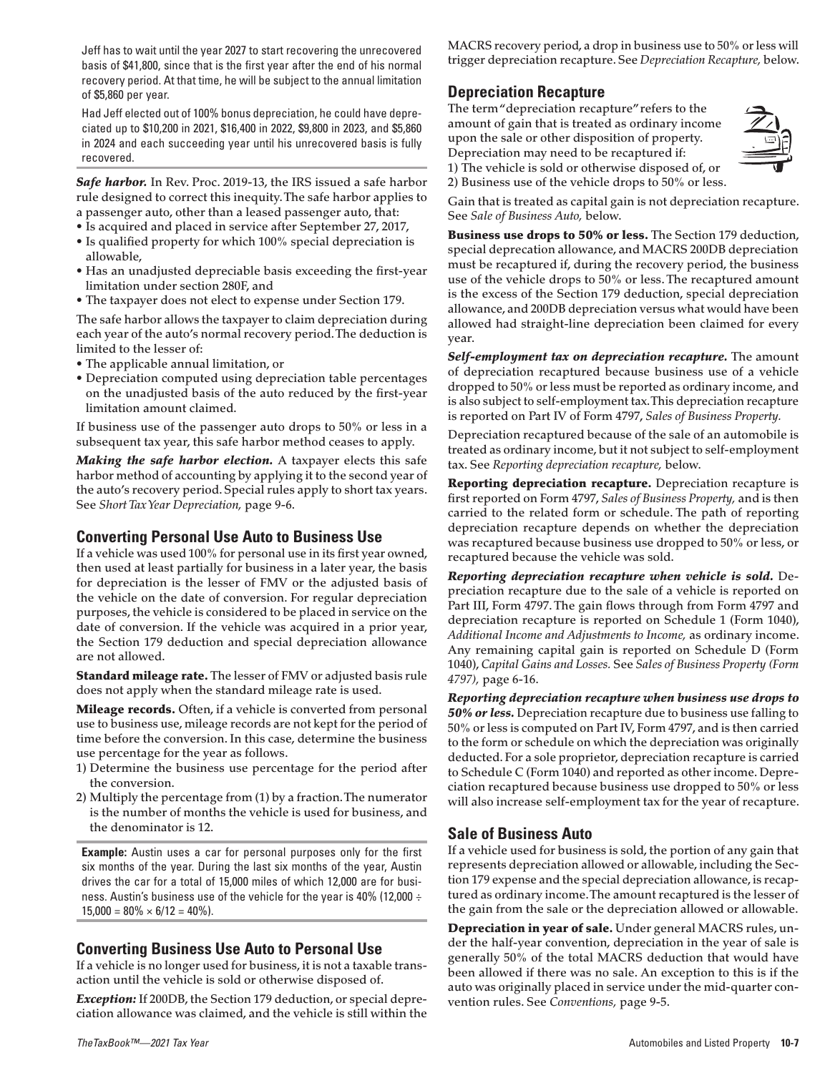Jeff has to wait until the year 2027 to start recovering the unrecovered basis of \$41,800, since that is the first year after the end of his normal recovery period. At that time, he will be subject to the annual limitation of \$5,860 per year.

Had Jeff elected out of 100% bonus depreciation, he could have depreciated up to \$10,200 in 2021, \$16,400 in 2022, \$9,800 in 2023, and \$5,860 in 2024 and each succeeding year until his unrecovered basis is fully recovered.

**Safe harbor.** In Rev. Proc. 2019-13, the IRS issued a safe harbor rule designed to correct this inequity. The safe harbor applies to a passenger auto, other than a leased passenger auto, that:

- Is acquired and placed in service after September 27, 2017,
- Is qualified property for which 100% special depreciation is allowable,
- Has an unadjusted depreciable basis exceeding the first-year limitation under section 280F, and
- The taxpayer does not elect to expense under Section 179.

The safe harbor allows the taxpayer to claim depreciation during each year of the auto's normal recovery period. The deduction is limited to the lesser of:

- The applicable annual limitation, or
- Depreciation computed using depreciation table percentages on the unadjusted basis of the auto reduced by the first-year limitation amount claimed.

If business use of the passenger auto drops to 50% or less in a subsequent tax year, this safe harbor method ceases to apply.

*Making the safe harbor election.* A taxpayer elects this safe harbor method of accounting by applying it to the second year of the auto's recovery period. Special rules apply to short tax years. See *Short Tax Year Depreciation,* page 9-6.

### **Converting Personal Use Auto to Business Use**

If a vehicle was used 100% for personal use in its first year owned, then used at least partially for business in a later year, the basis for depreciation is the lesser of FMV or the adjusted basis of the vehicle on the date of conversion. For regular depreciation purposes, the vehicle is considered to be placed in service on the date of conversion. If the vehicle was acquired in a prior year, the Section 179 deduction and special depreciation allowance are not allowed.

Standard mileage rate. The lesser of FMV or adjusted basis rule does not apply when the standard mileage rate is used.

**Mileage records.** Often, if a vehicle is converted from personal use to business use, mileage records are not kept for the period of time before the conversion. In this case, determine the business use percentage for the year as follows.

- 1) Determine the business use percentage for the period after the conversion.
- 2) Multiply the percentage from (1) by a fraction. The numerator is the number of months the vehicle is used for business, and the denominator is 12.

**Example:** Austin uses a car for personal purposes only for the first six months of the year. During the last six months of the year, Austin drives the car for a total of 15,000 miles of which 12,000 are for business. Austin's business use of the vehicle for the year is 40% (12,000 ÷  $15,000 = 80\% \times 6/12 = 40\%$ .

## **Converting Business Use Auto to Personal Use**

If a vehicle is no longer used for business, it is not a taxable transaction until the vehicle is sold or otherwise disposed of.

*Exception:* If 200DB, the Section 179 deduction, or special depreciation allowance was claimed, and the vehicle is still within the MACRS recovery period, a drop in business use to 50% or less will trigger depreciation recapture. See *Depreciation Recapture,* below.

## **Depreciation Recapture**

The term "depreciation recapture" refers to the amount of gain that is treated as ordinary income upon the sale or other disposition of property. Depreciation may need to be recaptured if: 1) The vehicle is sold or otherwise disposed of, or



2) Business use of the vehicle drops to 50% or less.

Gain that is treated as capital gain is not depreciation recapture. See *Sale of Business Auto,* below.

Business use drops to 50% or less. The Section 179 deduction, special deprecation allowance, and MACRS 200DB depreciation must be recaptured if, during the recovery period, the business use of the vehicle drops to 50% or less. The recaptured amount is the excess of the Section 179 deduction, special depreciation allowance, and 200DB depreciation versus what would have been allowed had straight-line depreciation been claimed for every year.

*Self-employment tax on depreciation recapture.* The amount of depreciation recaptured because business use of a vehicle dropped to 50% or less must be reported as ordinary income, and is also subject to self-employment tax. This depreciation recapture is reported on Part IV of Form 4797, *Sales of Business Property.*

Depreciation recaptured because of the sale of an automobile is treated as ordinary income, but it not subject to self-employment tax. See *Reporting depreciation recapture,* below.

Reporting depreciation recapture. Depreciation recapture is first reported on Form 4797, *Sales of Business Property,* and is then carried to the related form or schedule. The path of reporting depreciation recapture depends on whether the depreciation was recaptured because business use dropped to 50% or less, or recaptured because the vehicle was sold.

*Reporting depreciation recapture when vehicle is sold.* Depreciation recapture due to the sale of a vehicle is reported on Part III, Form 4797. The gain flows through from Form 4797 and depreciation recapture is reported on Schedule 1 (Form 1040), *Additional Income and Adjustments to Income,* as ordinary income. Any remaining capital gain is reported on Schedule D (Form 1040), *Capital Gains and Losses.* See *Sales of Business Property (Form 4797),* page 6-16.

*Reporting depreciation recapture when business use drops to 50% or less.* Depreciation recapture due to business use falling to 50% or less is computed on Part IV, Form 4797, and is then carried to the form or schedule on which the depreciation was originally deducted. For a sole proprietor, depreciation recapture is carried to Schedule C (Form 1040) and reported as other income. Depreciation recaptured because business use dropped to 50% or less will also increase self-employment tax for the year of recapture.

## **Sale of Business Auto**

If a vehicle used for business is sold, the portion of any gain that represents depreciation allowed or allowable, including the Section 179 expense and the special depreciation allowance, is recaptured as ordinary income. The amount recaptured is the lesser of the gain from the sale or the depreciation allowed or allowable.

Depreciation in year of sale. Under general MACRS rules, under the half-year convention, depreciation in the year of sale is generally 50% of the total MACRS deduction that would have been allowed if there was no sale. An exception to this is if the auto was originally placed in service under the mid-quarter convention rules. See *Conventions,* page 9-5.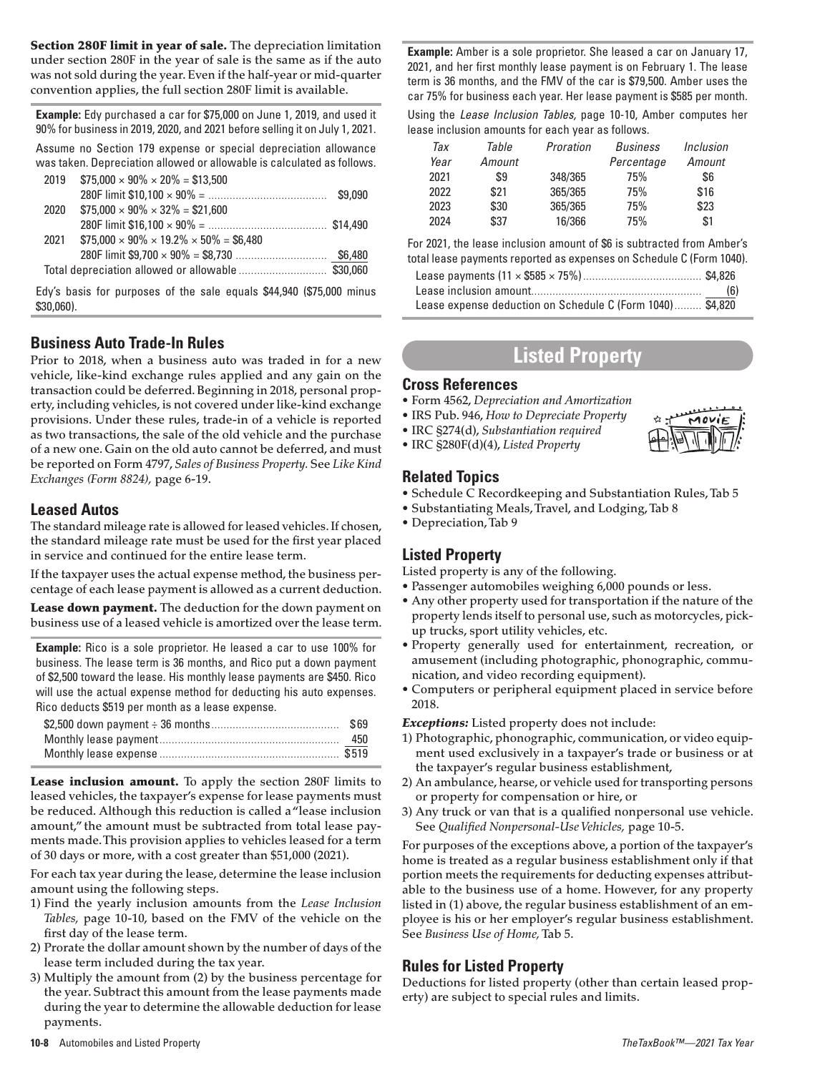Section 280F limit in year of sale. The depreciation limitation under section 280F in the year of sale is the same as if the auto was not sold during the year. Even if the half-year or mid-quarter convention applies, the full section 280F limit is available.

**Example:** Edy purchased a car for \$75,000 on June 1, 2019, and used it 90% for business in 2019, 2020, and 2021 before selling it on July 1, 2021.

Assume no Section 179 expense or special depreciation allowance was taken. Depreciation allowed or allowable is calculated as follows.

| 2019 | $$75,000 \times 90\% \times 20\% = $13,500$              |  |
|------|----------------------------------------------------------|--|
|      |                                                          |  |
| 2020 | $$75.000 \times 90\% \times 32\% = $21.600$              |  |
|      |                                                          |  |
| 2021 | $$75.000 \times 90\% \times 19.2\% \times 50\% = $6.480$ |  |
|      |                                                          |  |
|      | Total depreciation allowed or allowable  \$30,060        |  |

Edy's basis for purposes of the sale equals \$44,940 (\$75,000 minus \$30,060).

## **Business Auto Trade-In Rules**

Prior to 2018, when a business auto was traded in for a new vehicle, like-kind exchange rules applied and any gain on the transaction could be deferred. Beginning in 2018, personal property, including vehicles, is not covered under like-kind exchange provisions. Under these rules, trade-in of a vehicle is reported as two transactions, the sale of the old vehicle and the purchase of a new one. Gain on the old auto cannot be deferred, and must be reported on Form 4797, *Sales of Business Property.* See *Like Kind Exchanges (Form 8824),* page 6-19.

### **Leased Autos**

The standard mileage rate is allowed for leased vehicles. If chosen, the standard mileage rate must be used for the first year placed in service and continued for the entire lease term.

If the taxpayer uses the actual expense method, the business percentage of each lease payment is allowed as a current deduction.

Lease down payment. The deduction for the down payment on business use of a leased vehicle is amortized over the lease term.

**Example:** Rico is a sole proprietor. He leased a car to use 100% for business. The lease term is 36 months, and Rico put a down payment of \$2,500 toward the lease. His monthly lease payments are \$450. Rico will use the actual expense method for deducting his auto expenses. Rico deducts \$519 per month as a lease expense.

Lease inclusion amount. To apply the section 280F limits to leased vehicles, the taxpayer's expense for lease payments must be reduced. Although this reduction is called a "lease inclusion amount," the amount must be subtracted from total lease payments made. This provision applies to vehicles leased for a term of 30 days or more, with a cost greater than \$51,000 (2021).

For each tax year during the lease, determine the lease inclusion amount using the following steps.

- 1) Find the yearly inclusion amounts from the *Lease Inclusion Tables,* page 10-10, based on the FMV of the vehicle on the first day of the lease term.
- 2) Prorate the dollar amount shown by the number of days of the lease term included during the tax year.
- 3) Multiply the amount from (2) by the business percentage for the year. Subtract this amount from the lease payments made during the year to determine the allowable deduction for lease payments.

**Example:** Amber is a sole proprietor. She leased a car on January 17, 2021, and her first monthly lease payment is on February 1. The lease term is 36 months, and the FMV of the car is \$79,500. Amber uses the car 75% for business each year. Her lease payment is \$585 per month. Using the *Lease Inclusion Tables,* page 10-10, Amber computes her lease inclusion amounts for each year as follows.

| Тах  | Table  | Proration | <b>Business</b> | <i>Inclusion</i> |
|------|--------|-----------|-----------------|------------------|
| Year | Amount |           | Percentage      | Amount           |
| 2021 | \$9    | 348/365   | 75%             | \$6              |
| 2022 | \$21   | 365/365   | 75%             | \$16             |
| 2023 | \$30   | 365/365   | 75%             | \$23             |
| 2024 | \$37   | 16/366    | 75%             | \$1              |

For 2021, the lease inclusion amount of \$6 is subtracted from Amber's total lease payments reported as expenses on Schedule C (Form 1040).

|                                                           | (6) |
|-----------------------------------------------------------|-----|
| Lease expense deduction on Schedule C (Form 1040) \$4,820 |     |

# **Listed Property**

MOVIF

#### **Cross References**

- Form 4562, *Depreciation and Amortization*
- IRS Pub. 946, *How to Depreciate Property*
- IRC §274(d), *Substantiation required*
- IRC §280F(d)(4), *Listed Property*

## **Related Topics**

- Schedule C Recordkeeping and Substantiation Rules, Tab 5
- Substantiating Meals, Travel, and Lodging, Tab 8
- Depreciation, Tab 9

## **Listed Property**

Listed property is any of the following.

- Passenger automobiles weighing 6,000 pounds or less.
- Any other property used for transportation if the nature of the property lends itself to personal use, such as motorcycles, pickup trucks, sport utility vehicles, etc.
- Property generally used for entertainment, recreation, or amusement (including photographic, phonographic, communication, and video recording equipment).
- Computers or peripheral equipment placed in service before 2018.

*Exceptions:* Listed property does not include:

- 1) Photographic, phonographic, communication, or video equipment used exclusively in a taxpayer's trade or business or at the taxpayer's regular business establishment,
- 2) An ambulance, hearse, or vehicle used for transporting persons or property for compensation or hire, or
- 3) Any truck or van that is a qualified nonpersonal use vehicle. See *Qualified Nonpersonal-Use Vehicles,* page 10-5.

For purposes of the exceptions above, a portion of the taxpayer's home is treated as a regular business establishment only if that portion meets the requirements for deducting expenses attributable to the business use of a home. However, for any property listed in (1) above, the regular business establishment of an employee is his or her employer's regular business establishment. See *Business Use of Home,*Tab 5.

## **Rules for Listed Property**

Deductions for listed property (other than certain leased property) are subject to special rules and limits.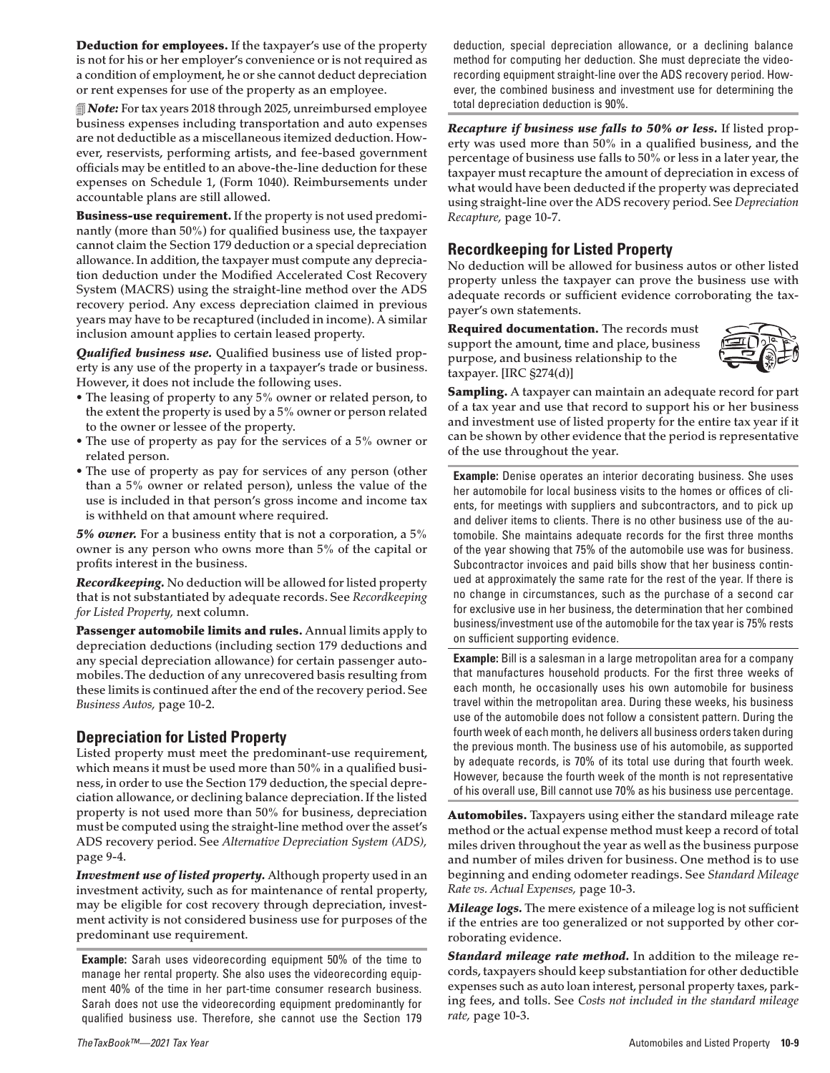**Deduction for employees.** If the taxpayer's use of the property is not for his or her employer's convenience or is not required as a condition of employment, he or she cannot deduct depreciation or rent expenses for use of the property as an employee.

*Note:* For tax years 2018 through 2025, unreimbursed employee business expenses including transportation and auto expenses are not deductible as a miscellaneous itemized deduction. However, reservists, performing artists, and fee-based government officials may be entitled to an above-the-line deduction for these expenses on Schedule 1, (Form 1040). Reimbursements under accountable plans are still allowed.

Business-use requirement. If the property is not used predominantly (more than 50%) for qualified business use, the taxpayer cannot claim the Section 179 deduction or a special depreciation allowance. In addition, the taxpayer must compute any depreciation deduction under the Modified Accelerated Cost Recovery System (MACRS) using the straight-line method over the ADS recovery period. Any excess depreciation claimed in previous years may have to be recaptured (included in income). A similar inclusion amount applies to certain leased property.

*Qualified business use.* Qualified business use of listed property is any use of the property in a taxpayer's trade or business. However, it does not include the following uses.

- The leasing of property to any 5% owner or related person, to the extent the property is used by a 5% owner or person related to the owner or lessee of the property.
- The use of property as pay for the services of a 5% owner or related person.
- The use of property as pay for services of any person (other than a 5% owner or related person), unless the value of the use is included in that person's gross income and income tax is withheld on that amount where required.

*5% owner.* For a business entity that is not a corporation, a 5% owner is any person who owns more than 5% of the capital or profits interest in the business.

*Recordkeeping.* No deduction will be allowed for listed property that is not substantiated by adequate records. See *Recordkeeping for Listed Property,* next column.

Passenger automobile limits and rules. Annual limits apply to depreciation deductions (including section 179 deductions and any special depreciation allowance) for certain passenger automobiles. The deduction of any unrecovered basis resulting from these limits is continued after the end of the recovery period. See *Business Autos,* page 10-2.

### **Depreciation for Listed Property**

Listed property must meet the predominant-use requirement, which means it must be used more than 50% in a qualified business, in order to use the Section 179 deduction, the special depreciation allowance, or declining balance depreciation. If the listed property is not used more than 50% for business, depreciation must be computed using the straight-line method over the asset's ADS recovery period. See *Alternative Depreciation System (ADS),* page 9-4.

*Investment use of listed property.* Although property used in an investment activity, such as for maintenance of rental property, may be eligible for cost recovery through depreciation, investment activity is not considered business use for purposes of the predominant use requirement.

**Example:** Sarah uses videorecording equipment 50% of the time to manage her rental property. She also uses the videorecording equipment 40% of the time in her part-time consumer research business. Sarah does not use the videorecording equipment predominantly for qualified business use. Therefore, she cannot use the Section 179

deduction, special depreciation allowance, or a declining balance method for computing her deduction. She must depreciate the videorecording equipment straight-line over the ADS recovery period. However, the combined business and investment use for determining the total depreciation deduction is 90%.

*Recapture if business use falls to 50% or less.* If listed property was used more than 50% in a qualified business, and the percentage of business use falls to 50% or less in a later year, the taxpayer must recapture the amount of depreciation in excess of what would have been deducted if the property was depreciated using straight-line over the ADS recovery period. See *Depreciation Recapture,* page 10-7.

### **Recordkeeping for Listed Property**

No deduction will be allowed for business autos or other listed property unless the taxpayer can prove the business use with adequate records or sufficient evidence corroborating the taxpayer's own statements.

Required documentation. The records must support the amount, time and place, business purpose, and business relationship to the taxpayer. [IRC §274(d)]



Sampling. A taxpayer can maintain an adequate record for part of a tax year and use that record to support his or her business and investment use of listed property for the entire tax year if it can be shown by other evidence that the period is representative of the use throughout the year.

**Example:** Denise operates an interior decorating business. She uses her automobile for local business visits to the homes or offices of clients, for meetings with suppliers and subcontractors, and to pick up and deliver items to clients. There is no other business use of the automobile. She maintains adequate records for the first three months of the year showing that 75% of the automobile use was for business. Subcontractor invoices and paid bills show that her business continued at approximately the same rate for the rest of the year. If there is no change in circumstances, such as the purchase of a second car for exclusive use in her business, the determination that her combined business/investment use of the automobile for the tax year is 75% rests on sufficient supporting evidence.

**Example:** Bill is a salesman in a large metropolitan area for a company that manufactures household products. For the first three weeks of each month, he occasionally uses his own automobile for business travel within the metropolitan area. During these weeks, his business use of the automobile does not follow a consistent pattern. During the fourth week of each month, he delivers all business orders taken during the previous month. The business use of his automobile, as supported by adequate records, is 70% of its total use during that fourth week. However, because the fourth week of the month is not representative of his overall use, Bill cannot use 70% as his business use percentage.

Automobiles. Taxpayers using either the standard mileage rate method or the actual expense method must keep a record of total miles driven throughout the year as well as the business purpose and number of miles driven for business. One method is to use beginning and ending odometer readings. See *Standard Mileage Rate vs. Actual Expenses,* page 10-3.

*Mileage logs.* The mere existence of a mileage log is not sufficient if the entries are too generalized or not supported by other corroborating evidence.

*Standard mileage rate method.* In addition to the mileage records, taxpayers should keep substantiation for other deductible expenses such as auto loan interest, personal property taxes, parking fees, and tolls. See *Costs not included in the standard mileage rate,* page 10-3.